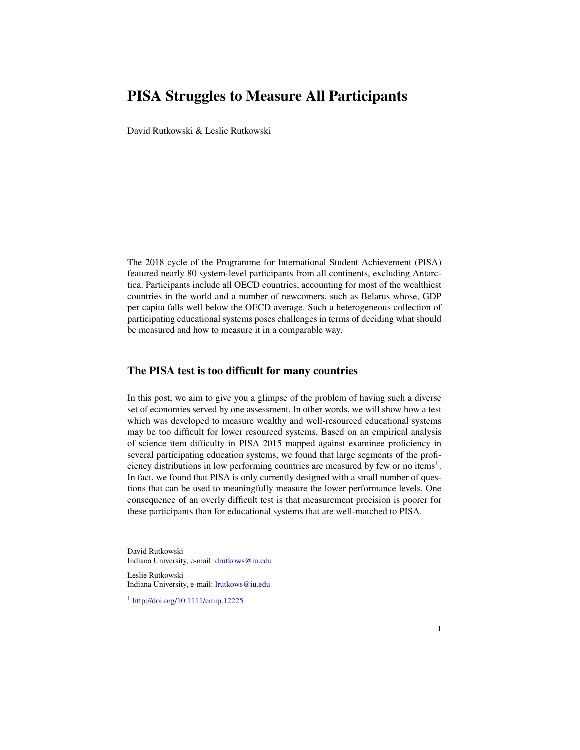## PISA Struggles to Measure All Participants

David Rutkowski & Leslie Rutkowski

The 2018 cycle of the Programme for International Student Achievement (PISA) featured nearly 80 system-level participants from all continents, excluding Antarctica. Participants include all OECD countries, accounting for most of the wealthiest countries in the world and a number of newcomers, such as Belarus whose, GDP per capita falls well below the OECD average. Such a heterogeneous collection of participating educational systems poses challenges in terms of deciding what should be measured and how to measure it in a comparable way.

## The PISA test is too difficult for many countries

In this post, we aim to give you a glimpse of the problem of having such a diverse set of economies served by one assessment. In other words, we will show how a test which was developed to measure wealthy and well-resourced educational systems may be too difficult for lower resourced systems. Based on an empirical analysis of science item difficulty in PISA 2015 mapped against examinee proficiency in several participating education systems, we found that large segments of the profi-ciency distributions in low performing countries are measured by few or no items<sup>[1](#page-0-0)</sup>. In fact, we found that PISA is only currently designed with a small number of questions that can be used to meaningfully measure the lower performance levels. One consequence of an overly difficult test is that measurement precision is poorer for these participants than for educational systems that are well-matched to PISA.

David Rutkowski

Leslie Rutkowski Indiana University, e-mail: [lrutkows@iu.edu](mailto:lrutkows@iu.edu)

Indiana University, e-mail: [drutkows@iu.edu](mailto: drutkows@iu.edu)

<span id="page-0-0"></span><sup>1</sup> <http://doi.org/10.1111/emip.12225>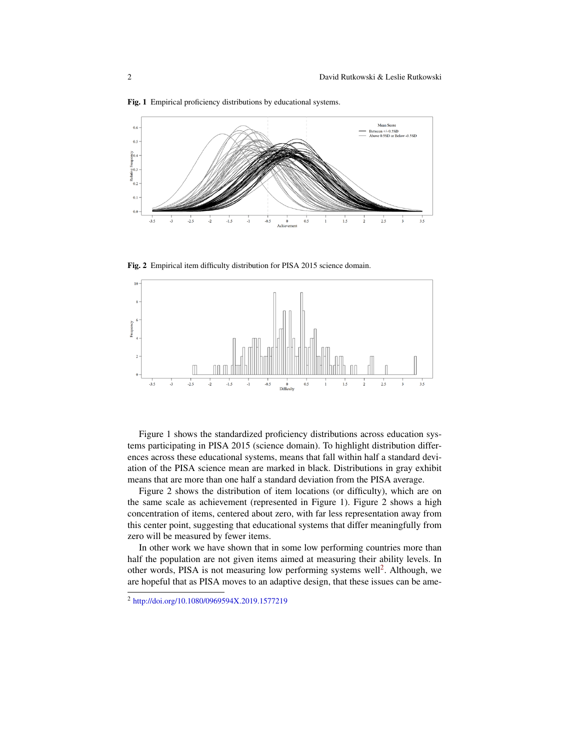

Fig. 1 Empirical proficiency distributions by educational systems.

Fig. 2 Empirical item difficulty distribution for PISA 2015 science domain.



Figure 1 shows the standardized proficiency distributions across education systems participating in PISA 2015 (science domain). To highlight distribution differences across these educational systems, means that fall within half a standard deviation of the PISA science mean are marked in black. Distributions in gray exhibit means that are more than one half a standard deviation from the PISA average.

Figure 2 shows the distribution of item locations (or difficulty), which are on the same scale as achievement (represented in Figure 1). Figure 2 shows a high concentration of items, centered about zero, with far less representation away from this center point, suggesting that educational systems that differ meaningfully from zero will be measured by fewer items.

In other work we have shown that in some low performing countries more than half the population are not given items aimed at measuring their ability levels. In other words, PISA is not measuring low performing systems well<sup>[2](#page-1-0)</sup>. Although, we are hopeful that as PISA moves to an adaptive design, that these issues can be ame-

<span id="page-1-0"></span><sup>2</sup> <http://doi.org/10.1080/0969594X.2019.1577219>